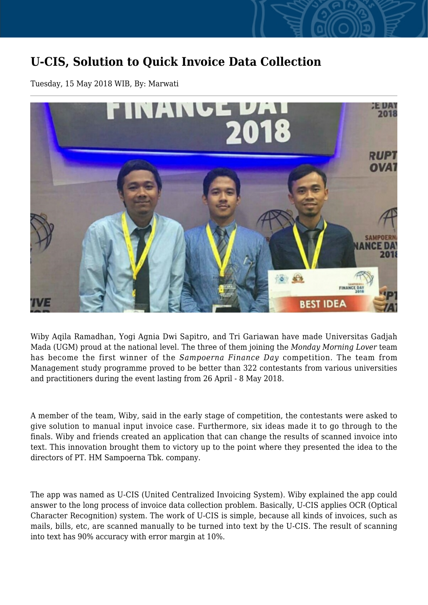## **U-CIS, Solution to Quick Invoice Data Collection**

Tuesday, 15 May 2018 WIB, By: Marwati



Wiby Aqila Ramadhan, Yogi Agnia Dwi Sapitro, and Tri Gariawan have made Universitas Gadjah Mada (UGM) proud at the national level. The three of them joining the *Monday Morning Lover* team has become the first winner of the *Sampoerna Finance Day* competition. The team from Management study programme proved to be better than 322 contestants from various universities and practitioners during the event lasting from 26 April - 8 May 2018.

A member of the team, Wiby, said in the early stage of competition, the contestants were asked to give solution to manual input invoice case. Furthermore, six ideas made it to go through to the finals. Wiby and friends created an application that can change the results of scanned invoice into text. This innovation brought them to victory up to the point where they presented the idea to the directors of PT. HM Sampoerna Tbk. company.

The app was named as U-CIS (United Centralized Invoicing System). Wiby explained the app could answer to the long process of invoice data collection problem. Basically, U-CIS applies OCR (Optical Character Recognition) system. The work of U-CIS is simple, because all kinds of invoices, such as mails, bills, etc, are scanned manually to be turned into text by the U-CIS. The result of scanning into text has 90% accuracy with error margin at 10%.